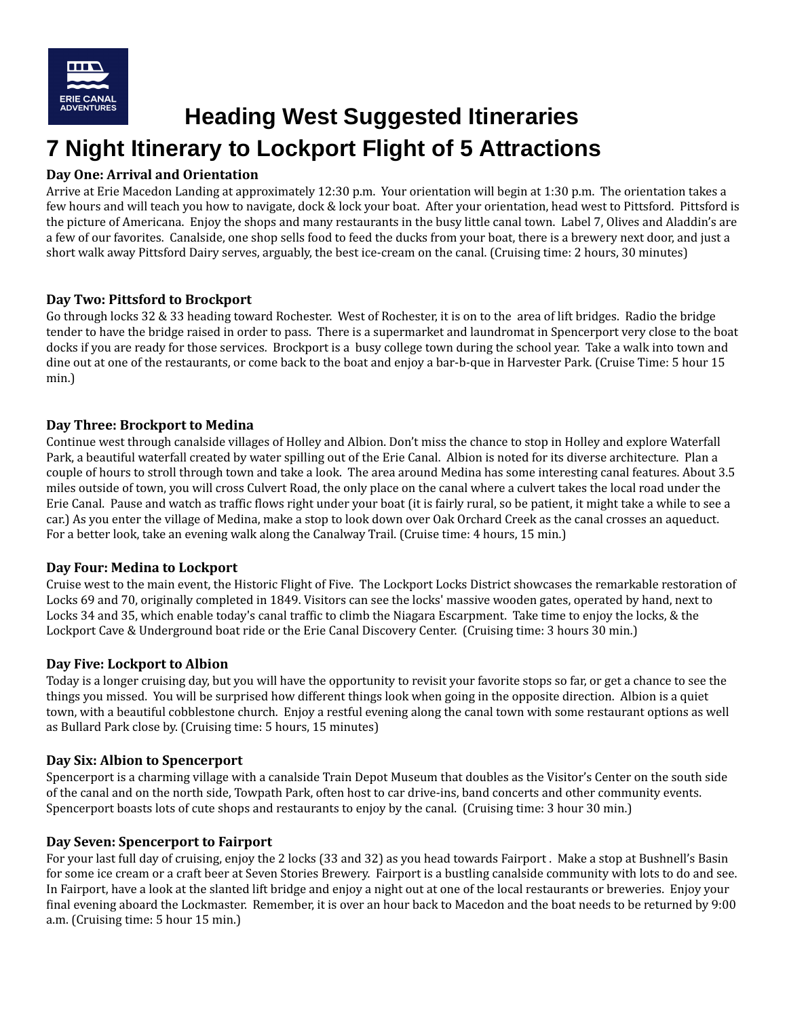

**Heading West Suggested Itineraries 7 Night Itinerary to Lockport Flight of 5 Attractions**

# **Day One: Arrival and Orientation**

Arrive at Erie Macedon Landing at approximately 12:30 p.m. Your orientation will begin at 1:30 p.m. The orientation takes a few hours and will teach you how to navigate, dock & lock your boat. After your orientation, head west to Pittsford. Pittsford is the picture of Americana. Enjoy the shops and many restaurants in the busy little canal town. Label 7, Olives and Aladdin's are a few of our favorites. Canalside, one shop sells food to feed the ducks from your boat, there is a brewery next door, and just a short walk away Pittsford Dairy serves, arguably, the best ice-cream on the canal. (Cruising time: 2 hours, 30 minutes)

# **Day Two: Pittsford to Brockport**

Go through locks 32 & 33 heading toward Rochester. West of Rochester, it is on to the area of lift bridges. Radio the bridge tender to have the bridge raised in order to pass. There is a supermarket and laundromat in Spencerport very close to the boat docks if you are ready for those services. Brockport is a busy college town during the school year. Take a walk into town and dine out at one of the restaurants, or come back to the boat and enjoy a bar-b-que in Harvester Park. (Cruise Time: 5 hour 15 min.)

# **Day Three: Brockport to Medina**

Continue west through canalside villages of Holley and Albion. Don't miss the chance to stop in Holley and explore Waterfall Park, a beautiful waterfall created by water spilling out of the Erie Canal. Albion is noted for its diverse architecture. Plan a couple of hours to stroll through town and take a look. The area around Medina has some interesting canal features. About 3.5 miles outside of town, you will cross Culvert Road, the only place on the canal where a culvert takes the local road under the Erie Canal. Pause and watch as traffic flows right under your boat (it is fairly rural, so be patient, it might take a while to see a car.) As you enter the village of Medina, make a stop to look down over Oak Orchard Creek as the canal crosses an aqueduct. For a better look, take an evening walk along the Canalway Trail. (Cruise time: 4 hours, 15 min.)

# **Day Four: Medina to Lockport**

Cruise west to the main event, the Historic Flight of Five. The Lockport Locks District showcases the remarkable restoration of Locks 69 and 70, originally completed in 1849. Visitors can see the locks' massive wooden gates, operated by hand, next to Locks 34 and 35, which enable today's canal traffic to climb the Niagara Escarpment. Take time to enjoy the locks, & the Lockport Cave & Underground boat ride or the Erie Canal Discovery Center. (Cruising time: 3 hours 30 min.)

# **Day Five: Lockport to Albion**

Today is a longer cruising day, but you will have the opportunity to revisit your favorite stops so far, or get a chance to see the things you missed. You will be surprised how different things look when going in the opposite direction. Albion is a quiet town, with a beautiful cobblestone church. Enjoy a restful evening along the canal town with some restaurant options as well as Bullard Park close by. (Cruising time: 5 hours, 15 minutes)

# **Day Six: Albion to Spencerport**

Spencerport is a charming village with a canalside Train Depot Museum that doubles as the Visitor's Center on the south side of the canal and on the north side, Towpath Park, often host to car drive-ins, band concerts and other community events. Spencerport boasts lots of cute shops and restaurants to enjoy by the canal. (Cruising time: 3 hour 30 min.)

# **Day Seven: Spencerport to Fairport**

For your last full day of cruising, enjoy the 2 locks (33 and 32) as you head towards Fairport . Make a stop at Bushnell's Basin for some ice cream or a craft beer at Seven Stories Brewery. Fairport is a bustling canalside community with lots to do and see. In Fairport, have a look at the slanted lift bridge and enjoy a night out at one of the local restaurants or breweries. Enjoy your final evening aboard the Lockmaster. Remember, it is over an hour back to Macedon and the boat needs to be returned by 9:00 a.m. (Cruising time: 5 hour 15 min.)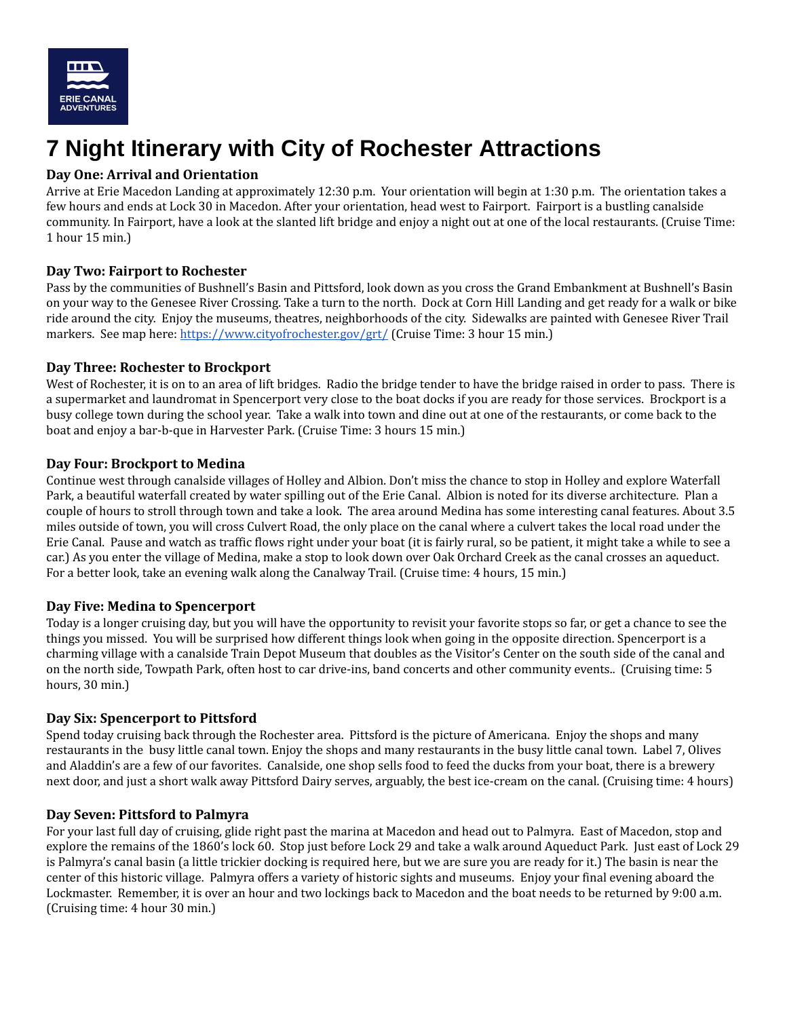

# **7 Night Itinerary with City of Rochester Attractions**

# **Day One: Arrival and Orientation**

Arrive at Erie Macedon Landing at approximately 12:30 p.m. Your orientation will begin at 1:30 p.m. The orientation takes a few hours and ends at Lock 30 in Macedon. After your orientation, head west to Fairport. Fairport is a bustling canalside community. In Fairport, have a look at the slanted lift bridge and enjoy a night out at one of the local restaurants. (Cruise Time: 1 hour 15 min.)

# **Day Two: Fairport to Rochester**

Pass by the communities of Bushnell's Basin and Pittsford, look down as you cross the Grand Embankment at Bushnell's Basin on your way to the Genesee River Crossing. Take a turn to the north. Dock at Corn Hill Landing and get ready for a walk or bike ride around the city. Enjoy the museums, theatres, neighborhoods of the city. Sidewalks are painted with Genesee River Trail markers. See map here: <https://www.cityofrochester.gov/grt/> (Cruise Time: 3 hour 15 min.)

# **Day Three: Rochester to Brockport**

West of Rochester, it is on to an area of lift bridges. Radio the bridge tender to have the bridge raised in order to pass. There is a supermarket and laundromat in Spencerport very close to the boat docks if you are ready for those services. Brockport is a busy college town during the school year. Take a walk into town and dine out at one of the restaurants, or come back to the boat and enjoy a bar-b-que in Harvester Park. (Cruise Time: 3 hours 15 min.)

#### **Day Four: Brockport to Medina**

Continue west through canalside villages of Holley and Albion. Don't miss the chance to stop in Holley and explore Waterfall Park, a beautiful waterfall created by water spilling out of the Erie Canal. Albion is noted for its diverse architecture. Plan a couple of hours to stroll through town and take a look. The area around Medina has some interesting canal features. About 3.5 miles outside of town, you will cross Culvert Road, the only place on the canal where a culvert takes the local road under the Erie Canal. Pause and watch as traffic flows right under your boat (it is fairly rural, so be patient, it might take a while to see a car.) As you enter the village of Medina, make a stop to look down over Oak Orchard Creek as the canal crosses an aqueduct. For a better look, take an evening walk along the Canalway Trail. (Cruise time: 4 hours, 15 min.)

#### **Day Five: Medina to Spencerport**

Today is a longer cruising day, but you will have the opportunity to revisit your favorite stops so far, or get a chance to see the things you missed. You will be surprised how different things look when going in the opposite direction. Spencerport is a charming village with a canalside Train Depot Museum that doubles as the Visitor's Center on the south side of the canal and on the north side, Towpath Park, often host to car drive-ins, band concerts and other community events.. (Cruising time: 5 hours, 30 min.)

# **Day Six: Spencerport to Pittsford**

Spend today cruising back through the Rochester area. Pittsford is the picture of Americana. Enjoy the shops and many restaurants in the busy little canal town. Enjoy the shops and many restaurants in the busy little canal town. Label 7, Olives and Aladdin's are a few of our favorites. Canalside, one shop sells food to feed the ducks from your boat, there is a brewery next door, and just a short walk away Pittsford Dairy serves, arguably, the best ice-cream on the canal. (Cruising time: 4 hours)

#### **Day Seven: Pittsford to Palmyra**

For your last full day of cruising, glide right past the marina at Macedon and head out to Palmyra. East of Macedon, stop and explore the remains of the 1860's lock 60. Stop just before Lock 29 and take a walk around Aqueduct Park. Just east of Lock 29 is Palmyra's canal basin (a little trickier docking is required here, but we are sure you are ready for it.) The basin is near the center of this historic village. Palmyra offers a variety of historic sights and museums. Enjoy your final evening aboard the Lockmaster. Remember, it is over an hour and two lockings back to Macedon and the boat needs to be returned by 9:00 a.m. (Cruising time: 4 hour 30 min.)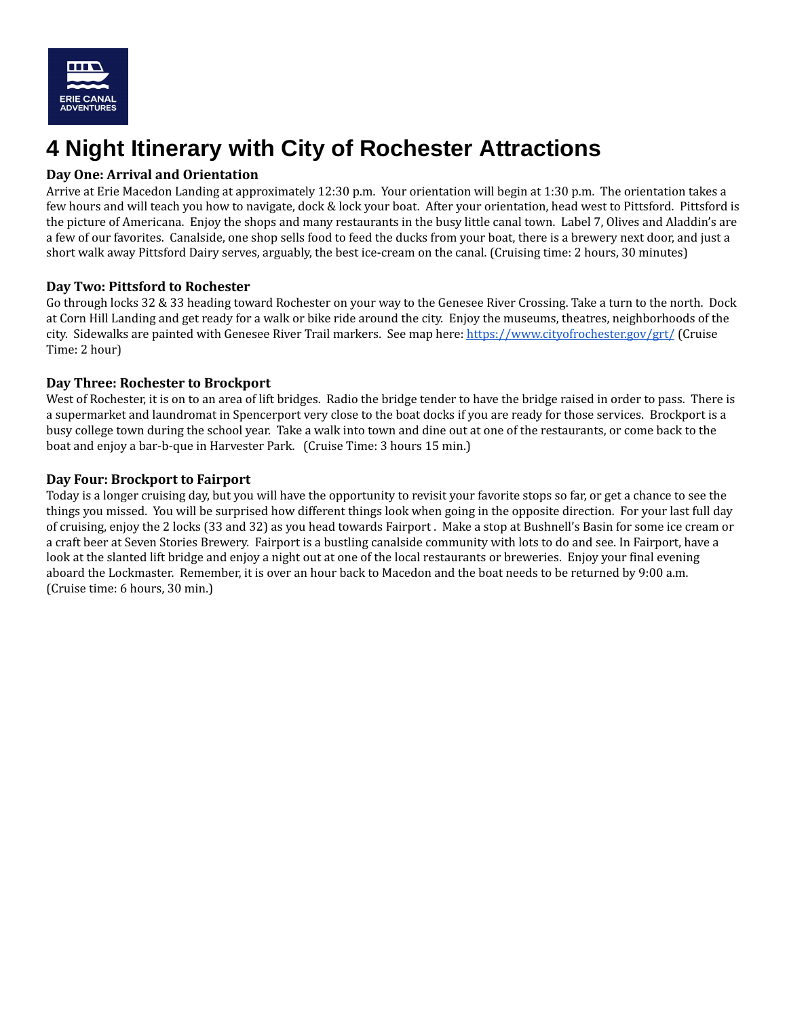

# **4 Night Itinerary with City of Rochester Attractions**

# **Day One: Arrival and Orientation**

Arrive at Erie Macedon Landing at approximately 12:30 p.m. Your orientation will begin at 1:30 p.m. The orientation takes a few hours and will teach you how to navigate, dock & lock your boat. After your orientation, head west to Pittsford. Pittsford is the picture of Americana. Enjoy the shops and many restaurants in the busy little canal town. Label 7, Olives and Aladdin's are a few of our favorites. Canalside, one shop sells food to feed the ducks from your boat, there is a brewery next door, and just a short walk away Pittsford Dairy serves, arguably, the best ice-cream on the canal. (Cruising time: 2 hours, 30 minutes)

#### **Day Two: Pittsford to Rochester**

Go through locks 32 & 33 heading toward Rochester on your way to the Genesee River Crossing. Take a turn to the north. Dock at Corn Hill Landing and get ready for a walk or bike ride around the city. Enjoy the museums, theatres, neighborhoods of the city. Sidewalks are painted with Genesee River Trail markers. See map here: <https://www.cityofrochester.gov/grt/> (Cruise Time: 2 hour)

#### **Day Three: Rochester to Brockport**

West of Rochester, it is on to an area of lift bridges. Radio the bridge tender to have the bridge raised in order to pass. There is a supermarket and laundromat in Spencerport very close to the boat docks if you are ready for those services. Brockport is a busy college town during the school year. Take a walk into town and dine out at one of the restaurants, or come back to the boat and enjoy a bar-b-que in Harvester Park. (Cruise Time: 3 hours 15 min.)

#### **Day Four: Brockport to Fairport**

Today is a longer cruising day, but you will have the opportunity to revisit your favorite stops so far, or get a chance to see the things you missed. You will be surprised how different things look when going in the opposite direction. For your last full day of cruising, enjoy the 2 locks (33 and 32) as you head towards Fairport . Make a stop at Bushnell's Basin for some ice cream or a craft beer at Seven Stories Brewery. Fairport is a bustling canalside community with lots to do and see. In Fairport, have a look at the slanted lift bridge and enjoy a night out at one of the local restaurants or breweries. Enjoy your final evening aboard the Lockmaster. Remember, it is over an hour back to Macedon and the boat needs to be returned by 9:00 a.m. (Cruise time: 6 hours, 30 min.)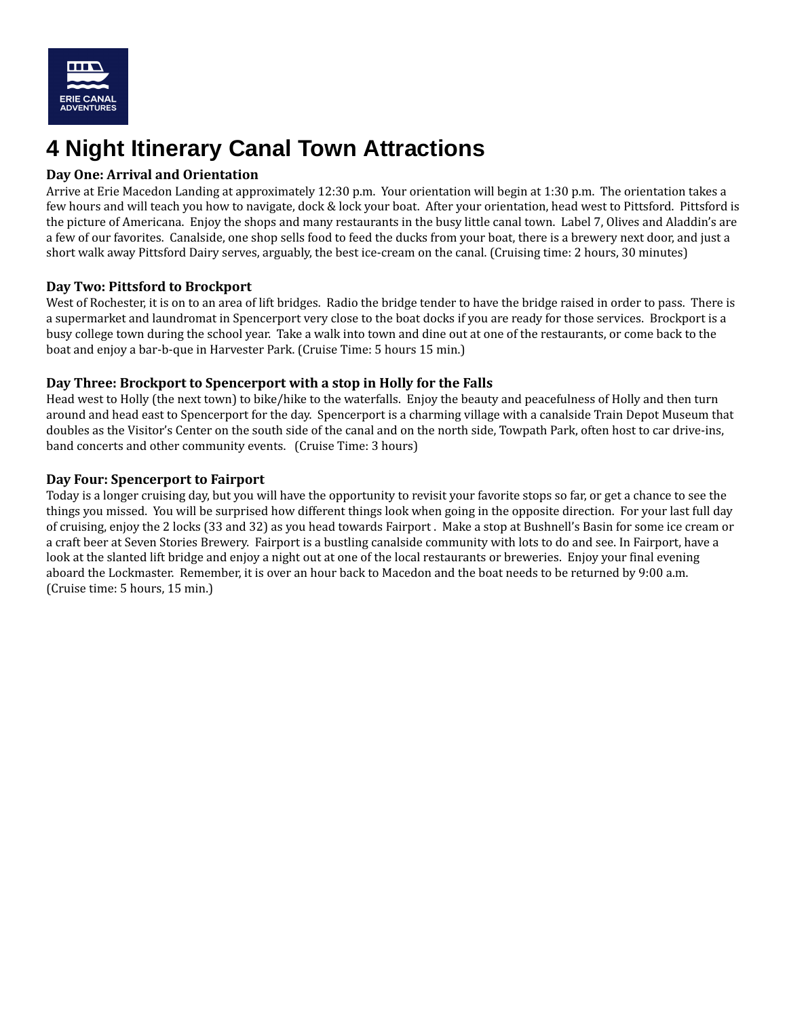

# **4 Night Itinerary Canal Town Attractions**

# **Day One: Arrival and Orientation**

Arrive at Erie Macedon Landing at approximately 12:30 p.m. Your orientation will begin at 1:30 p.m. The orientation takes a few hours and will teach you how to navigate, dock & lock your boat. After your orientation, head west to Pittsford. Pittsford is the picture of Americana. Enjoy the shops and many restaurants in the busy little canal town. Label 7, Olives and Aladdin's are a few of our favorites. Canalside, one shop sells food to feed the ducks from your boat, there is a brewery next door, and just a short walk away Pittsford Dairy serves, arguably, the best ice-cream on the canal. (Cruising time: 2 hours, 30 minutes)

# **Day Two: Pittsford to Brockport**

West of Rochester, it is on to an area of lift bridges. Radio the bridge tender to have the bridge raised in order to pass. There is a supermarket and laundromat in Spencerport very close to the boat docks if you are ready for those services. Brockport is a busy college town during the school year. Take a walk into town and dine out at one of the restaurants, or come back to the boat and enjoy a bar-b-que in Harvester Park. (Cruise Time: 5 hours 15 min.)

# **Day Three: Brockport to Spencerport with a stop in Holly for the Falls**

Head west to Holly (the next town) to bike/hike to the waterfalls. Enjoy the beauty and peacefulness of Holly and then turn around and head east to Spencerport for the day. Spencerport is a charming village with a canalside Train Depot Museum that doubles as the Visitor's Center on the south side of the canal and on the north side, Towpath Park, often host to car drive-ins, band concerts and other community events. (Cruise Time: 3 hours)

# **Day Four: Spencerport to Fairport**

Today is a longer cruising day, but you will have the opportunity to revisit your favorite stops so far, or get a chance to see the things you missed. You will be surprised how different things look when going in the opposite direction. For your last full day of cruising, enjoy the 2 locks (33 and 32) as you head towards Fairport . Make a stop at Bushnell's Basin for some ice cream or a craft beer at Seven Stories Brewery. Fairport is a bustling canalside community with lots to do and see. In Fairport, have a look at the slanted lift bridge and enjoy a night out at one of the local restaurants or breweries. Enjoy your final evening aboard the Lockmaster. Remember, it is over an hour back to Macedon and the boat needs to be returned by 9:00 a.m. (Cruise time: 5 hours, 15 min.)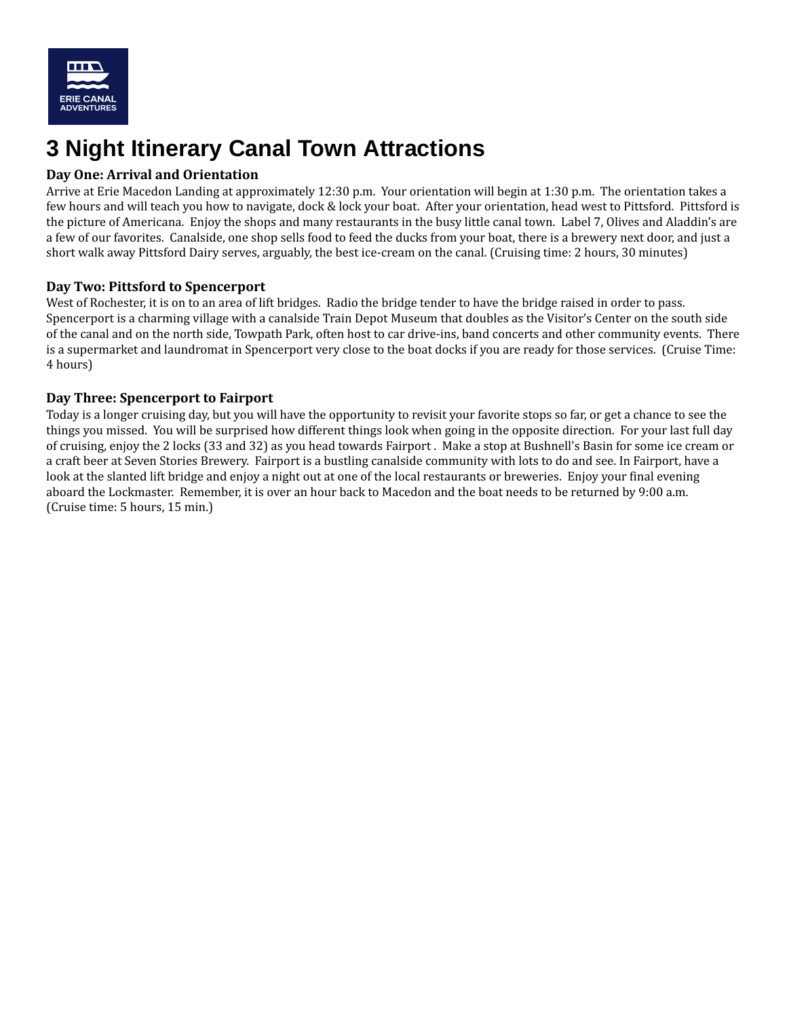

# **3 Night Itinerary Canal Town Attractions**

# **Day One: Arrival and Orientation**

Arrive at Erie Macedon Landing at approximately 12:30 p.m. Your orientation will begin at 1:30 p.m. The orientation takes a few hours and will teach you how to navigate, dock & lock your boat. After your orientation, head west to Pittsford. Pittsford is the picture of Americana. Enjoy the shops and many restaurants in the busy little canal town. Label 7, Olives and Aladdin's are a few of our favorites. Canalside, one shop sells food to feed the ducks from your boat, there is a brewery next door, and just a short walk away Pittsford Dairy serves, arguably, the best ice-cream on the canal. (Cruising time: 2 hours, 30 minutes)

# **Day Two: Pittsford to Spencerport**

West of Rochester, it is on to an area of lift bridges. Radio the bridge tender to have the bridge raised in order to pass. Spencerport is a charming village with a canalside Train Depot Museum that doubles as the Visitor's Center on the south side of the canal and on the north side, Towpath Park, often host to car drive-ins, band concerts and other community events. There is a supermarket and laundromat in Spencerport very close to the boat docks if you are ready for those services. (Cruise Time: 4 hours)

# **Day Three: Spencerport to Fairport**

Today is a longer cruising day, but you will have the opportunity to revisit your favorite stops so far, or get a chance to see the things you missed. You will be surprised how different things look when going in the opposite direction. For your last full day of cruising, enjoy the 2 locks (33 and 32) as you head towards Fairport . Make a stop at Bushnell's Basin for some ice cream or a craft beer at Seven Stories Brewery. Fairport is a bustling canalside community with lots to do and see. In Fairport, have a look at the slanted lift bridge and enjoy a night out at one of the local restaurants or breweries. Enjoy your final evening aboard the Lockmaster. Remember, it is over an hour back to Macedon and the boat needs to be returned by 9:00 a.m. (Cruise time: 5 hours, 15 min.)